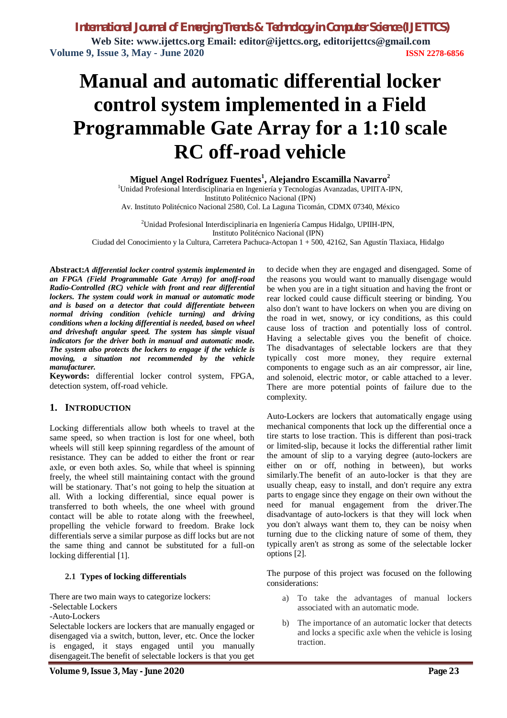# **Manual and automatic differential locker control system implemented in a Field Programmable Gate Array for a 1:10 scale RC off-road vehicle**

**Miguel Angel Rodríguez Fuentes<sup>1</sup> , Alejandro Escamilla Navarro<sup>2</sup>** <sup>1</sup>Unidad Profesional Interdisciplinaria en Ingeniería y Tecnologías Avanzadas, UPIITA-IPN, Instituto Politécnico Nacional (IPN) Av. Instituto Politécnico Nacional 2580, Col. La Laguna Ticomán, CDMX 07340, México

<sup>2</sup>Unidad Profesional Interdisciplinaria en Ingeniería Campus Hidalgo, UPIIH-IPN, Instituto Politécnico Nacional (IPN)

Ciudad del Conocimiento y la Cultura, Carretera Pachuca-Actopan 1 + 500, 42162, San Agustín Tlaxiaca, Hidalgo

**Abstract:***A differential locker control systemis implemented in an FPGA (Field Programmable Gate Array) for anoff-road Radio-Controlled (RC) vehicle with front and rear differential lockers. The system could work in manual or automatic mode and is based on a detector that could differentiate between normal driving condition (vehicle turning) and driving conditions when a locking differential is needed, based on wheel and driveshaft angular speed. The system has simple visual indicators for the driver both in manual and automatic mode. The system also protects the lockers to engage if the vehicle is moving, a situation not recommended by the vehicle manufacturer.* 

**Keywords:** differential locker control system, FPGA, detection system, off-road vehicle.

# **1. INTRODUCTION**

Locking differentials allow both wheels to travel at the same speed, so when traction is lost for one wheel, both wheels will still keep spinning regardless of the amount of resistance. They can be added to either the front or rear axle, or even both axles. So, while that wheel is spinning freely, the wheel still maintaining contact with the ground will be stationary. That's not going to help the situation at all. With a locking differential, since equal power is transferred to both wheels, the one wheel with ground contact will be able to rotate along with the freewheel, propelling the vehicle forward to freedom. Brake lock differentials serve a similar purpose as diff locks but are not the same thing and cannot be substituted for a full-on locking differential [1].

## **2.1 Types of locking differentials**

There are two main ways to categorize lockers:

-Selectable Lockers

-Auto-Lockers

Selectable lockers are lockers that are manually engaged or disengaged via a switch, button, lever, etc. Once the locker is engaged, it stays engaged until you manually disengageit.The benefit of selectable lockers is that you get to decide when they are engaged and disengaged. Some of the reasons you would want to manually disengage would be when you are in a tight situation and having the front or rear locked could cause difficult steering or binding. You also don't want to have lockers on when you are diving on the road in wet, snowy, or icy conditions, as this could cause loss of traction and potentially loss of control. Having a selectable gives you the benefit of choice. The disadvantages of selectable lockers are that they typically cost more money, they require external components to engage such as an air compressor, air line, and solenoid, electric motor, or cable attached to a lever. There are more potential points of failure due to the complexity.

Auto-Lockers are lockers that automatically engage using mechanical components that lock up the differential once a tire starts to lose traction. This is different than posi-track or limited-slip, because it locks the differential rather limit the amount of slip to a varying degree (auto-lockers are either on or off, nothing in between), but works similarly.The benefit of an auto-locker is that they are usually cheap, easy to install, and don't require any extra parts to engage since they engage on their own without the need for manual engagement from the driver.The disadvantage of auto-lockers is that they will lock when you don't always want them to, they can be noisy when turning due to the clicking nature of some of them, they typically aren't as strong as some of the selectable locker options [2].

The purpose of this project was focused on the following considerations:

- a) To take the advantages of manual lockers associated with an automatic mode.
- b) The importance of an automatic locker that detects and locks a specific axle when the vehicle is losing traction.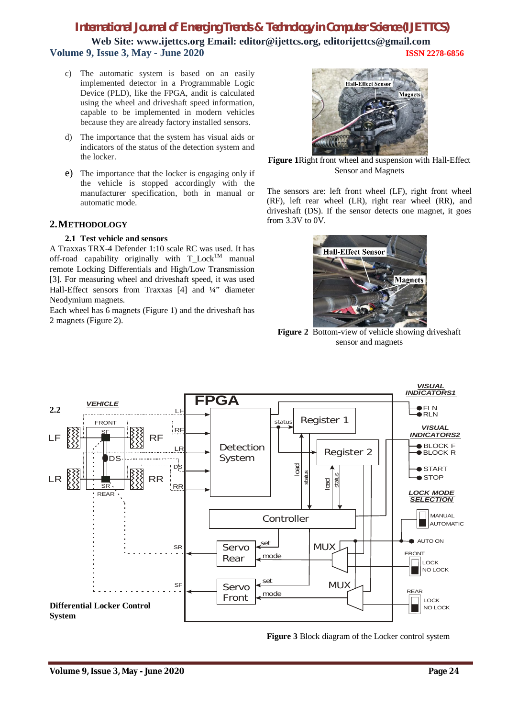**Web Site: www.ijettcs.org Email: editor@ijettcs.org, editorijettcs@gmail.com Volume 9, Issue 3, May - June 2020 ISSN 2278-6856**

- c) The automatic system is based on an easily implemented detector in a Programmable Logic Device (PLD), like the FPGA, andit is calculated using the wheel and driveshaft speed information, capable to be implemented in modern vehicles because they are already factory installed sensors.
- d) The importance that the system has visual aids or indicators of the status of the detection system and the locker.
- e) The importance that the locker is engaging only if the vehicle is stopped accordingly with the manufacturer specification, both in manual or automatic mode.

# **2.METHODOLOGY**

## **2.1 Test vehicle and sensors**

A Traxxas TRX-4 Defender 1:10 scale RC was used. It has off-road capability originally with  $T\_Lock^{TM}$  manual remote Locking Differentials and High/Low Transmission [3]. For measuring wheel and driveshaft speed, it was used Hall-Effect sensors from Traxxas [4] and ¼" diameter Neodymium magnets.

Each wheel has 6 magnets (Figure 1) and the driveshaft has 2 magnets (Figure 2).



**Figure 1**Right front wheel and suspension with Hall-Effect Sensor and Magnets

The sensors are: left front wheel (LF), right front wheel (RF), left rear wheel (LR), right rear wheel (RR), and driveshaft (DS). If the sensor detects one magnet, it goes from 3.3V to 0V.



**Figure 2** Bottom-view of vehicle showing driveshaft sensor and magnets



**Figure 3** Block diagram of the Locker control system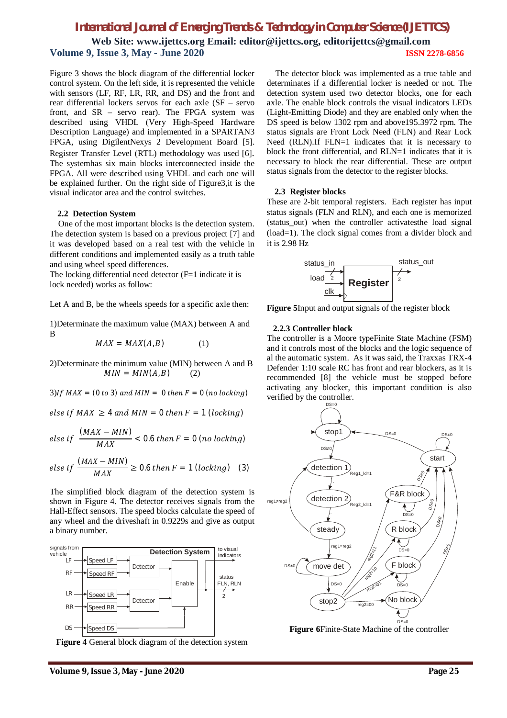**Web Site: www.ijettcs.org Email: editor@ijettcs.org, editorijettcs@gmail.com Volume 9, Issue 3, May - June 2020 ISSN 2278-6856**

Figure 3 shows the block diagram of the differential locker control system. On the left side, it is represented the vehicle with sensors (LF, RF, LR, RR, and DS) and the front and rear differential lockers servos for each axle (SF – servo front, and SR – servo rear). The FPGA system was described using VHDL (Very High-Speed Hardware Description Language) and implemented in a SPARTAN3 FPGA, using DigilentNexys 2 Development Board [5]. Register Transfer Level (RTL) methodology was used [6]. The systemhas six main blocks interconnected inside the FPGA. All were described using VHDL and each one will be explained further. On the right side of Figure3,it is the visual indicator area and the control switches.

#### **2.2 Detection System**

One of the most important blocks is the detection system. The detection system is based on a previous project [7] and it was developed based on a real test with the vehicle in different conditions and implemented easily as a truth table and using wheel speed differences.

The locking differential need detector (F=1 indicate it is lock needed) works as follow:

Let A and B, be the wheels speeds for a specific axle then:

1)Determinate the maximum value (MAX) between A and B

 $MAX = MAX(A, B)$  (1)

2)Determinate the minimum value (MIN) between A and B  $MIN = MIN(A, B)$  (2)

 $(3)$ If MAX =  $(0 to 3)$  and MIN = 0 then  $F = 0$  (no locking)

else if  $MAX \geq 4$  and  $MIN = 0$  then  $F = 1$  (locking)

$$
else if \frac{(MAX - MIN)}{MAX} < 0.6 then F = 0 (no locking)
$$

$$
else if \frac{(MAX - MIN)}{MAX} \ge 0.6 then F = 1 (locking)
$$
 (3)

The simplified block diagram of the detection system is shown in Figure 4. The detector receives signals from the Hall-Effect sensors. The speed blocks calculate the speed of any wheel and the driveshaft in 0.9229s and give as output a binary number.



**Figure 4** General block diagram of the detection system

The detector block was implemented as a true table and determinates if a differential locker is needed or not. The detection system used two detector blocks, one for each axle. The enable block controls the visual indicators LEDs (Light-Emitting Diode) and they are enabled only when the DS speed is below 1302 rpm and above195.3972 rpm. The status signals are Front Lock Need (FLN) and Rear Lock Need (RLN).If FLN=1 indicates that it is necessary to block the front differential, and RLN=1 indicates that it is necessary to block the rear differential. These are output status signals from the detector to the register blocks.

#### **2.3 Register blocks**

These are 2-bit temporal registers. Each register has input status signals (FLN and RLN), and each one is memorized (status out) when the controller activatesthe load signal (load=1). The clock signal comes from a divider block and it is 2.98 Hz



**Figure 5**Input and output signals of the register block

#### **2.2.3 Controller block**

The controller is a Moore typeFinite State Machine (FSM) and it controls most of the blocks and the logic sequence of al the automatic system. As it was said, the Traxxas TRX-4 Defender 1:10 scale RC has front and rear blockers, as it is recommended [8] the vehicle must be stopped before activating any blocker, this important condition is also verified by the controller.



**Figure 6**Finite-State Machine of the controller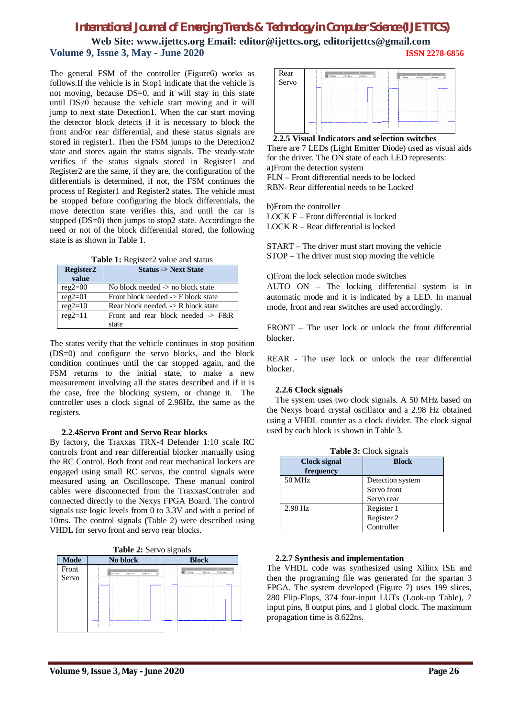**Web Site: www.ijettcs.org Email: editor@ijettcs.org, editorijettcs@gmail.com Volume 9, Issue 3, May - June 2020 ISSN 2278-6856**

The general FSM of the controller (Figure6) works as follows.If the vehicle is in Stop1 indicate that the vehicle is not moving, because DS=0, and it will stay in this state until DS≠0 because the vehicle start moving and it will jump to next state Detection1. When the car start moving the detector block detects if it is necessary to block the front and/or rear differential, and these status signals are stored in register1. Then the FSM jumps to the Detection2 state and stores again the status signals. The steady-state verifies if the status signals stored in Register1 and Register2 are the same, if they are, the configuration of the differentials is determined, if not, the FSM continues the process of Register1 and Register2 states. The vehicle must be stopped before configuring the block differentials, the move detection state verifies this, and until the car is stopped (DS=0) then jumps to stop2 state. Accordingto the need or not of the block differential stored, the following state is as shown in Table 1.

**Table 1:** Register2 value and status

| Register2<br>value | <b>Status -&gt; Next State</b>                 |
|--------------------|------------------------------------------------|
| $reg2=00$          | No block needed $\rightarrow$ no block state   |
| $reg2=01$          | Front block needed $\rightarrow$ F block state |
| $reg2=10$          | Rear block needed. $\rightarrow$ R block state |
| $reg2=11$          | Front and rear block needed $\rightarrow$ F&R  |
|                    | state                                          |

The states verify that the vehicle continues in stop position (DS=0) and configure the servo blocks, and the block condition continues until the car stopped again, and the FSM returns to the initial state, to make a new measurement involving all the states described and if it is the case, free the blocking system, or change it. The controller uses a clock signal of 2.98Hz, the same as the registers.

## **2.2.4Servo Front and Servo Rear blocks**

By factory, the Traxxas TRX-4 Defender 1:10 scale RC controls front and rear differential blocker manually using the RC Control. Both front and rear mechanical lockers are engaged using small RC servos, the control signals were measured using an Oscilloscope. These manual control cables were disconnected from the TraxxasControler and connected directly to the Nexys FPGA Board. The control signals use logic levels from 0 to 3.3V and with a period of 10ms. The control signals (Table 2) were described using VHDL for servo front and servo rear blocks.





There are 7 LEDs (Light Emitter Diode) used as visual aids for the driver. The ON state of each LED represents: a)From the detection system FLN – Front differential needs to be locked

RBN- Rear differential needs to be Locked

b)From the controller LOCK F – Front differential is locked LOCK R – Rear differential is locked

START – The driver must start moving the vehicle STOP – The driver must stop moving the vehicle

c)From the lock selection mode switches

AUTO ON – The locking differential system is in automatic mode and it is indicated by a LED. In manual mode, front and rear switches are used accordingly.

FRONT – The user lock or unlock the front differential blocker.

REAR - The user lock or unlock the rear differential blocker.

# **2.2.6 Clock signals**

The system uses two clock signals. A 50 MHz based on the Nexys board crystal oscillator and a 2.98 Hz obtained using a VHDL counter as a clock divider. The clock signal used by each block is shown in Table 3.

| <b>Clock signal</b> | <b>Block</b>     |  |
|---------------------|------------------|--|
| frequency           |                  |  |
| 50 MHz              | Detection system |  |
|                     | Servo front      |  |
|                     | Servo rear       |  |
| $2.98$ Hz           | Register 1       |  |
|                     | Register 2       |  |
|                     | Controller       |  |

**Table 3:** Clock signals

## **2.2.7 Synthesis and implementation**

The VHDL code was synthesized using Xilinx ISE and then the programing file was generated for the spartan 3 FPGA. The system developed (Figure 7) uses 199 slices, 280 Flip-Flops, 374 four-input LUTs (Look-up Table), 7 input pins, 8 output pins, and 1 global clock. The maximum propagation time is 8.622ns.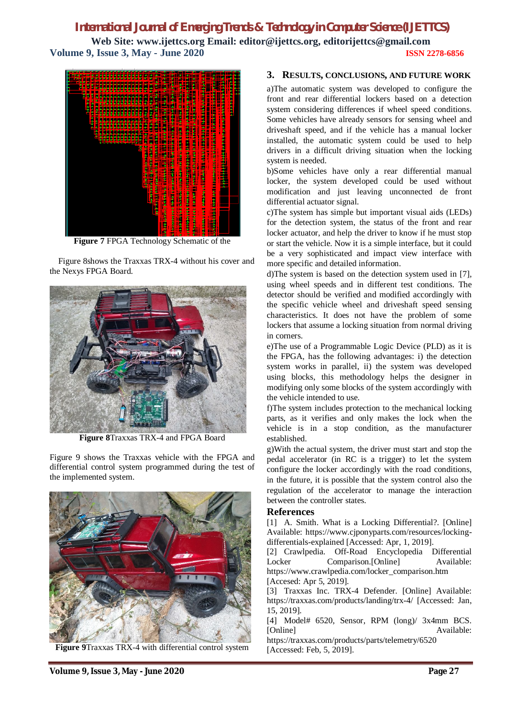# *International Journal of Emerging Trends & Technology in Computer Science (IJETTCS)* **Web Site: www.ijettcs.org Email: editor@ijettcs.org, editorijettcs@gmail.com Volume 9, Issue 3, May - June 2020 ISSN 2278-6856**



**Figure 7** FPGA Technology Schematic of the

Figure 8shows the Traxxas TRX-4 without his cover and the Nexys FPGA Board.



**Figure 8**Traxxas TRX-4 and FPGA Board

Figure 9 shows the Traxxas vehicle with the FPGA and differential control system programmed during the test of the implemented system.



**Figure 9**Traxxas TRX-4 with differential control system

# **3. RESULTS, CONCLUSIONS, AND FUTURE WORK**

a)The automatic system was developed to configure the front and rear differential lockers based on a detection system considering differences if wheel speed conditions. Some vehicles have already sensors for sensing wheel and driveshaft speed, and if the vehicle has a manual locker installed, the automatic system could be used to help drivers in a difficult driving situation when the locking system is needed.

b)Some vehicles have only a rear differential manual locker, the system developed could be used without modification and just leaving unconnected de front differential actuator signal.

c)The system has simple but important visual aids (LEDs) for the detection system, the status of the front and rear locker actuator, and help the driver to know if he must stop or start the vehicle. Now it is a simple interface, but it could be a very sophisticated and impact view interface with more specific and detailed information.

d)The system is based on the detection system used in [7], using wheel speeds and in different test conditions. The detector should be verified and modified accordingly with the specific vehicle wheel and driveshaft speed sensing characteristics. It does not have the problem of some lockers that assume a locking situation from normal driving in corners.

e)The use of a Programmable Logic Device (PLD) as it is the FPGA, has the following advantages: i) the detection system works in parallel, ii) the system was developed using blocks, this methodology helps the designer in modifying only some blocks of the system accordingly with the vehicle intended to use.

f)The system includes protection to the mechanical locking parts, as it verifies and only makes the lock when the vehicle is in a stop condition, as the manufacturer established.

g)With the actual system, the driver must start and stop the pedal accelerator (in RC is a trigger) to let the system configure the locker accordingly with the road conditions, in the future, it is possible that the system control also the regulation of the accelerator to manage the interaction between the controller states.

## **References**

[1] A. Smith. What is a Locking Differential?. [Online] Available: https://www.cjponyparts.com/resources/lockingdifferentials-explained [Accessed: Apr, 1, 2019].

[2] Crawlpedia. Off-Road Encyclopedia Differential Locker Comparison.[Online] Available: https://www.crawlpedia.com/locker\_comparison.htm [Accesed: Apr 5, 2019].

[3] Traxxas Inc. TRX-4 Defender. [Online] Available: https://traxxas.com/products/landing/trx-4/ [Accessed: Jan, 15, 2019].

[4] Model# 6520, Sensor, RPM (long)/ 3x4mm BCS. [Online] Available:

https://traxxas.com/products/parts/telemetry/6520 [Accessed: Feb, 5, 2019].